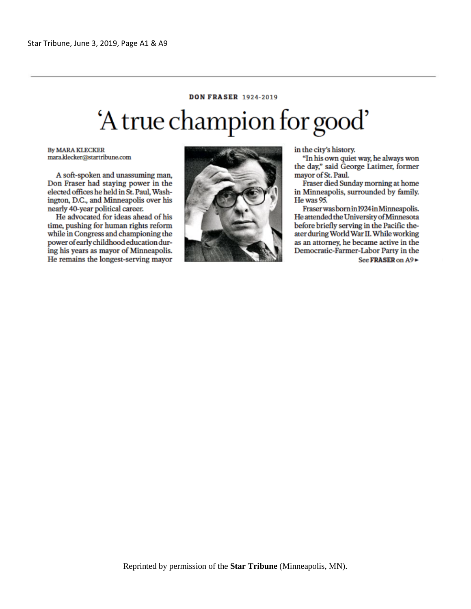## **DON FRASER 1924-2019** 'A true champion for good'

**By MARA KLECKER** mara.klecker@startribune.com

A soft-spoken and unassuming man, Don Fraser had staying power in the elected offices he held in St. Paul, Washington, D.C., and Minneapolis over his nearly 40-year political career.

He advocated for ideas ahead of his time, pushing for human rights reform while in Congress and championing the power of early childhood education during his years as mayor of Minneapolis. He remains the longest-serving mayor



in the city's history.

"In his own quiet way, he always won the day," said George Latimer, former mavor of St. Paul.

Fraser died Sunday morning at home in Minneapolis, surrounded by family. He was 95.

Fraser was born in 1924 in Minneapolis. He attended the University of Minnesota before briefly serving in the Pacific theater during World War II. While working as an attorney, he became active in the Democratic-Farmer-Labor Party in the See FRASER on A9►